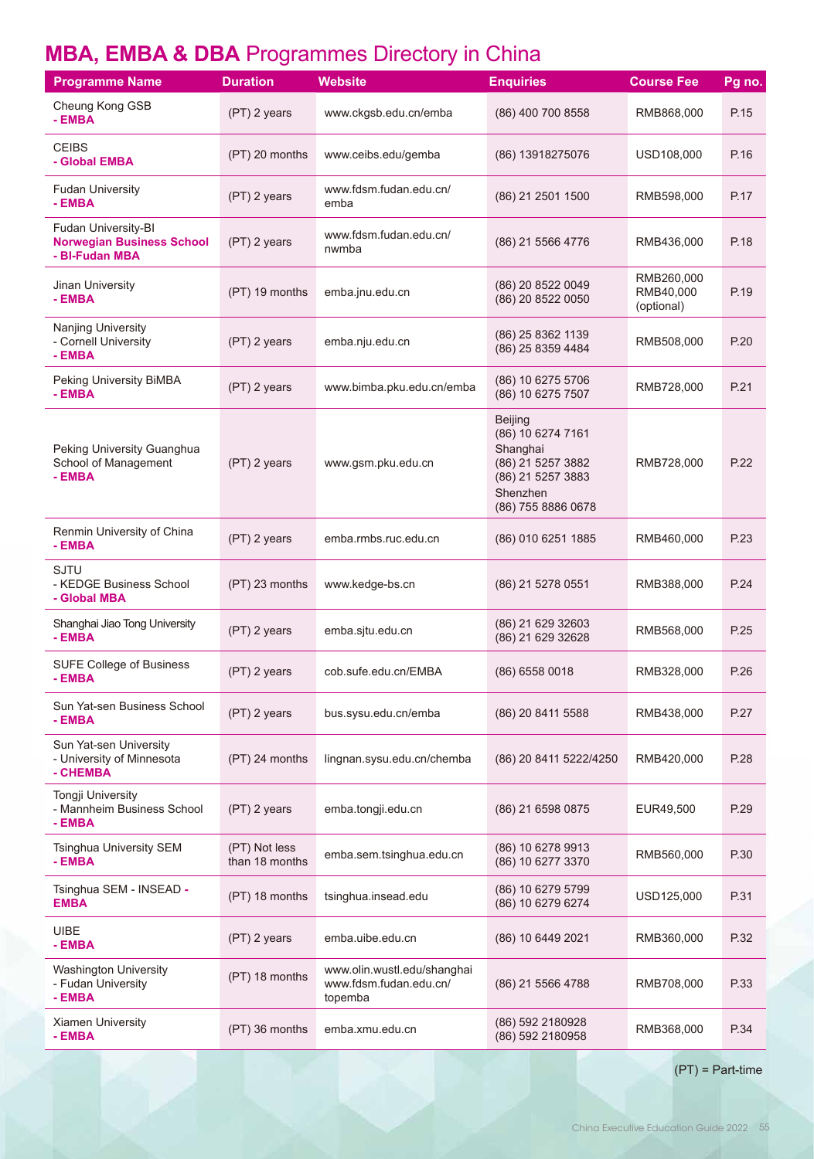# **MBA, EMBA & DBA** Programmes Directory in China

| <b>Programme Name</b>                                                     | <b>Duration</b>                 | Website                                                          | <b>Enquiries</b>                                                                                                            | <b>Course Fee</b>                     | Pg no. |
|---------------------------------------------------------------------------|---------------------------------|------------------------------------------------------------------|-----------------------------------------------------------------------------------------------------------------------------|---------------------------------------|--------|
| Cheung Kong GSB<br>- EMBA                                                 | (PT) 2 years                    | www.ckgsb.edu.cn/emba                                            | (86) 400 700 8558                                                                                                           | RMB868,000                            | P.15   |
| <b>CEIBS</b><br>- Global EMBA                                             | (PT) 20 months                  | www.ceibs.edu/gemba                                              | (86) 13918275076                                                                                                            | USD108,000                            | P.16   |
| <b>Fudan University</b><br>- EMBA                                         | (PT) 2 years                    | www.fdsm.fudan.edu.cn/<br>emba                                   | (86) 21 2501 1500                                                                                                           | RMB598,000                            | P.17   |
| Fudan University-BI<br><b>Norwegian Business School</b><br>- BI-Fudan MBA | (PT) 2 years                    | www.fdsm.fudan.edu.cn/<br>nwmba                                  | (86) 21 5566 4776                                                                                                           | RMB436,000                            | P.18   |
| Jinan University<br>- EMBA                                                | (PT) 19 months                  | emba.jnu.edu.cn                                                  | (86) 20 8522 0049<br>(86) 20 8522 0050                                                                                      | RMB260,000<br>RMB40,000<br>(optional) | P.19   |
| <b>Nanjing University</b><br>- Cornell University<br>- EMBA               | (PT) 2 years                    | emba.nju.edu.cn                                                  | (86) 25 8362 1139<br>(86) 25 8359 4484                                                                                      | RMB508,000                            | P.20   |
| Peking University BiMBA<br>- EMBA                                         | (PT) 2 years                    | www.bimba.pku.edu.cn/emba                                        | (86) 10 6275 5706<br>(86) 10 6275 7507                                                                                      | RMB728,000                            | P.21   |
| Peking University Guanghua<br>School of Management<br>- EMBA              | (PT) 2 years                    | www.gsm.pku.edu.cn                                               | <b>Beijing</b><br>(86) 10 6274 7161<br>Shanghai<br>(86) 21 5257 3882<br>(86) 21 5257 3883<br>Shenzhen<br>(86) 755 8886 0678 | RMB728,000                            | P.22   |
| Renmin University of China<br>- EMBA                                      | (PT) 2 years                    | emba.rmbs.ruc.edu.cn                                             | (86) 010 6251 1885                                                                                                          | RMB460,000                            | P.23   |
| <b>SJTU</b><br>- KEDGE Business School<br>- Global MBA                    | (PT) 23 months                  | www.kedge-bs.cn                                                  | (86) 21 5278 0551                                                                                                           | RMB388,000                            | P.24   |
| Shanghai Jiao Tong University<br>- EMBA                                   | (PT) 2 years                    | emba.sjtu.edu.cn                                                 | (86) 21 629 32603<br>(86) 21 629 32628                                                                                      | RMB568,000                            | P.25   |
| <b>SUFE College of Business</b><br>- EMBA                                 | (PT) 2 years                    | cob.sufe.edu.cn/EMBA                                             | (86) 6558 0018                                                                                                              | RMB328,000                            | P.26   |
| Sun Yat-sen Business School<br>- EMBA                                     | (PT) 2 years                    | bus.sysu.edu.cn/emba                                             | (86) 20 8411 5588                                                                                                           | RMB438,000                            | P.27   |
| Sun Yat-sen University<br>- University of Minnesota<br>- CHEMBA           | (PT) 24 months                  | lingnan.sysu.edu.cn/chemba                                       | (86) 20 8411 5222/4250                                                                                                      | RMB420,000                            | P.28   |
| Tongji University<br>- Mannheim Business School<br>- EMBA                 | (PT) 2 years                    | emba.tongji.edu.cn                                               | (86) 21 6598 0875                                                                                                           | EUR49,500                             | P.29   |
| Tsinghua University SEM<br>- EMBA                                         | (PT) Not less<br>than 18 months | emba.sem.tsinghua.edu.cn                                         | (86) 10 6278 9913<br>(86) 10 6277 3370                                                                                      | RMB560,000                            | P.30   |
| Tsinghua SEM - INSEAD -<br><b>EMBA</b>                                    | (PT) 18 months                  | tsinghua.insead.edu                                              | (86) 10 6279 5799<br>(86) 10 6279 6274                                                                                      | USD125,000                            | P.31   |
| <b>UIBE</b><br>- EMBA                                                     | (PT) 2 years                    | emba.uibe.edu.cn                                                 | (86) 10 6449 2021                                                                                                           | RMB360,000                            | P.32   |
| <b>Washington University</b><br>- Fudan University<br>- EMBA              | (PT) 18 months                  | www.olin.wustl.edu/shanghai<br>www.fdsm.fudan.edu.cn/<br>topemba | (86) 21 5566 4788                                                                                                           | RMB708,000                            | P.33   |
| <b>Xiamen University</b><br>- EMBA                                        | (PT) 36 months                  | emba.xmu.edu.cn                                                  | (86) 592 2180928<br>(86) 592 2180958                                                                                        | RMB368,000                            | P.34   |

(PT) = Part-time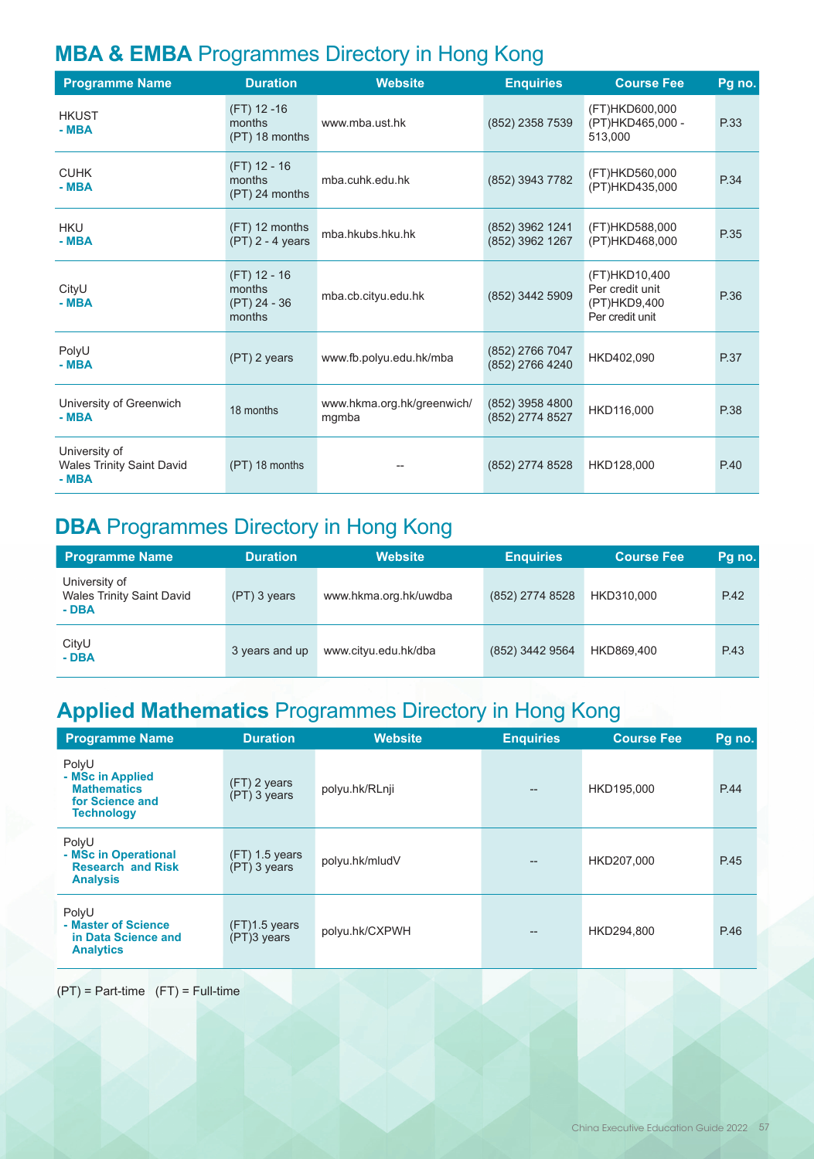# **MBA & EMBA** Programmes Directory in Hong Kong

| <b>Programme Name</b>                                       | <b>Duration</b>                                  | <b>Website</b>                      | <b>Enquiries</b>                   | <b>Course Fee</b>                                                   | Pg no. |
|-------------------------------------------------------------|--------------------------------------------------|-------------------------------------|------------------------------------|---------------------------------------------------------------------|--------|
| <b>HKUST</b><br>$-MBA$                                      | $(FT)$ 12 -16<br>months<br>(PT) 18 months        | www.mba.ust.hk                      | (852) 2358 7539                    | (FT)HKD600,000<br>(PT)HKD465,000 -<br>513.000                       | P.33   |
| <b>CUHK</b><br>$-MBA$                                       | (FT) 12 - 16<br>months<br>(PT) 24 months         | mba.cuhk.edu.hk                     | (852) 3943 7782                    | (FT)HKD560,000<br>(PT)HKD435,000                                    | P.34   |
| <b>HKU</b><br>$-MBA$                                        | (FT) 12 months<br>$(PT)$ 2 - 4 years             | mba.hkubs.hku.hk                    | (852) 3962 1241<br>(852) 3962 1267 | (FT)HKD588,000<br>(PT)HKD468,000                                    | P.35   |
| CityU<br>$-MBA$                                             | (FT) 12 - 16<br>months<br>(PT) 24 - 36<br>months | mba.cb.cityu.edu.hk                 | (852) 3442 5909                    | (FT)HKD10,400<br>Per credit unit<br>(PT)HKD9,400<br>Per credit unit | P.36   |
| PolyU<br>$-MBA$                                             | (PT) 2 years                                     | www.fb.polyu.edu.hk/mba             | (852) 2766 7047<br>(852) 2766 4240 | HKD402,090                                                          | P.37   |
| University of Greenwich<br>$-MBA$                           | 18 months                                        | www.hkma.org.hk/greenwich/<br>mgmba | (852) 3958 4800<br>(852) 2774 8527 | HKD116,000                                                          | P.38   |
| University of<br><b>Wales Trinity Saint David</b><br>$-MBA$ | (PT) 18 months                                   |                                     | (852) 2774 8528                    | HKD128,000                                                          | P.40   |

### **DBA** Programmes Directory in Hong Kong

| <b>Programme Name</b>                                       | <b>Duration</b> | <b>Website</b>        | <b>Enquiries</b> | <b>Course Fee</b> | Pq no. |
|-------------------------------------------------------------|-----------------|-----------------------|------------------|-------------------|--------|
| University of<br><b>Wales Trinity Saint David</b><br>$-DBA$ | (PT) 3 years    | www.hkma.org.hk/uwdba | (852) 2774 8528  | HKD310.000        | P.42   |
| CityU<br>- DBA                                              | 3 years and up  | www.cityu.edu.hk/dba  | (852) 3442 9564  | HKD869.400        | P.43   |

# **Applied Mathematics** Programmes Directory in Hong Kong

| <b>Programme Name</b>                                                                   | <b>Duration</b>                  | <b>Website</b> | <b>Enquiries</b> | <b>Course Fee</b> | Pg no. |
|-----------------------------------------------------------------------------------------|----------------------------------|----------------|------------------|-------------------|--------|
| PolyU<br>- MSc in Applied<br><b>Mathematics</b><br>for Science and<br><b>Technology</b> | $(FT)$ 2 years<br>(PT) 3 years   | polyu.hk/RLnji |                  | HKD195,000        | P.44   |
| PolyU<br>- MSc in Operational<br><b>Research and Risk</b><br><b>Analysis</b>            | $(FT)$ 1.5 years<br>(PT) 3 years | polyu.hk/mludV |                  | HKD207.000        | P.45   |
| PolyU<br>- Master of Science<br>in Data Science and<br><b>Analytics</b>                 | $(FT)1.5$ years<br>(PT)3 years   | polyu.hk/CXPWH |                  | HKD294,800        | P.46   |

#### $(PT)$  = Part-time  $(FT)$  = Full-time